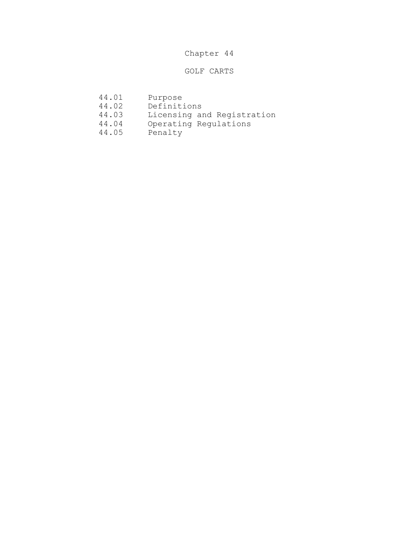## Chapter 44

## GOLF CARTS

- 44.01 Purpose
- 
- 44.02 Definitions<br>44.03 Licensing an 44.03 Licensing and Registration<br>44.04 Operating Regulations
	- Operating Regulations<br>Penalty
- 44.05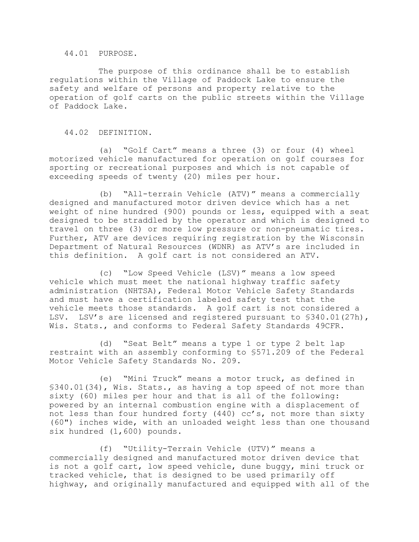44.01 PURPOSE.

The purpose of this ordinance shall be to establish regulations within the Village of Paddock Lake to ensure the safety and welfare of persons and property relative to the operation of golf carts on the public streets within the Village of Paddock Lake.

44.02 DEFINITION.

(a) "Golf Cart" means a three (3) or four (4) wheel motorized vehicle manufactured for operation on golf courses for sporting or recreational purposes and which is not capable of exceeding speeds of twenty (20) miles per hour.

(b) "All-terrain Vehicle (ATV)" means a commercially designed and manufactured motor driven device which has a net weight of nine hundred (900) pounds or less, equipped with a seat designed to be straddled by the operator and which is designed to travel on three (3) or more low pressure or non-pneumatic tires. Further, ATV are devices requiring registration by the Wisconsin Department of Natural Resources (WDNR) as ATV's are included in this definition. A golf cart is not considered an ATV.

(c) "Low Speed Vehicle (LSV)" means a low speed vehicle which must meet the national highway traffic safety administration (NHTSA), Federal Motor Vehicle Safety Standards and must have a certification labeled safety test that the vehicle meets those standards. A golf cart is not considered a LSV. LSV's are licensed and registered pursuant to §340.01(27h), Wis. Stats., and conforms to Federal Safety Standards 49CFR.

(d) "Seat Belt" means a type 1 or type 2 belt lap restraint with an assembly conforming to §571.209 of the Federal Motor Vehicle Safety Standards No. 209.

(e) "Mini Truck" means a motor truck, as defined in §340.01(34), Wis. Stats., as having a top speed of not more than sixty (60) miles per hour and that is all of the following: powered by an internal combustion engine with a displacement of not less than four hundred forty (440) cc's, not more than sixty (60") inches wide, with an unloaded weight less than one thousand six hundred (1,600) pounds.

(f) "Utility-Terrain Vehicle (UTV)" means a commercially designed and manufactured motor driven device that is not a golf cart, low speed vehicle, dune buggy, mini truck or tracked vehicle, that is designed to be used primarily off highway, and originally manufactured and equipped with all of the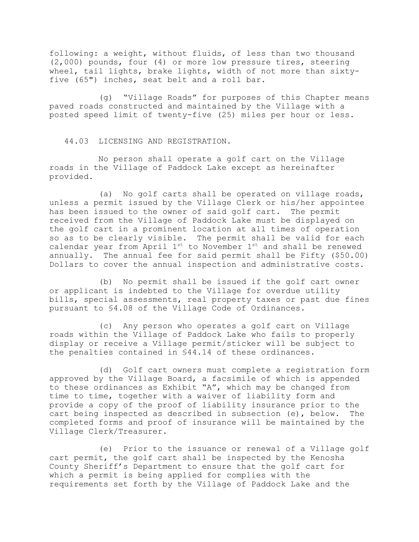following: a weight, without fluids, of less than two thousand (2,000) pounds, four (4) or more low pressure tires, steering wheel, tail lights, brake lights, width of not more than sixtyfive (65") inches, seat belt and a roll bar.

(g) "Village Roads" for purposes of this Chapter means paved roads constructed and maintained by the Village with a posted speed limit of twenty-five (25) miles per hour or less.

44.03 LICENSING AND REGISTRATION.

No person shall operate a golf cart on the Village roads in the Village of Paddock Lake except as hereinafter provided.

(a) No golf carts shall be operated on village roads, unless a permit issued by the Village Clerk or his/her appointee has been issued to the owner of said golf cart. The permit received from the Village of Paddock Lake must be displayed on the golf cart in a prominent location at all times of operation so as to be clearly visible. The permit shall be valid for each calendar year from April 1<sup>st</sup> to November 1<sup>st</sup> and shall be renewed annually. The annual fee for said permit shall be Fifty (\$50.00) Dollars to cover the annual inspection and administrative costs.

(b) No permit shall be issued if the golf cart owner or applicant is indebted to the Village for overdue utility bills, special assessments, real property taxes or past due fines pursuant to §4.08 of the Village Code of Ordinances.

(c) Any person who operates a golf cart on Village roads within the Village of Paddock Lake who fails to properly display or receive a Village permit/sticker will be subject to the penalties contained in §44.14 of these ordinances.

(d) Golf cart owners must complete a registration form approved by the Village Board, a facsimile of which is appended to these ordinances as Exhibit "A", which may be changed from time to time, together with a waiver of liability form and provide a copy of the proof of liability insurance prior to the cart being inspected as described in subsection (e), below. The completed forms and proof of insurance will be maintained by the Village Clerk/Treasurer.

(e) Prior to the issuance or renewal of a Village golf cart permit, the golf cart shall be inspected by the Kenosha County Sheriff's Department to ensure that the golf cart for which a permit is being applied for complies with the requirements set forth by the Village of Paddock Lake and the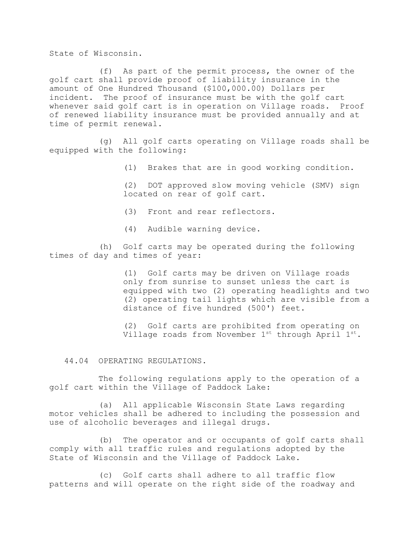State of Wisconsin.

(f) As part of the permit process, the owner of the golf cart shall provide proof of liability insurance in the amount of One Hundred Thousand (\$100,000.00) Dollars per incident. The proof of insurance must be with the golf cart whenever said golf cart is in operation on Village roads. Proof of renewed liability insurance must be provided annually and at time of permit renewal.

(g) All golf carts operating on Village roads shall be equipped with the following:

(1) Brakes that are in good working condition.

(2) DOT approved slow moving vehicle (SMV) sign located on rear of golf cart.

(3) Front and rear reflectors.

(4) Audible warning device.

(h) Golf carts may be operated during the following times of day and times of year:

> (1) Golf carts may be driven on Village roads only from sunrise to sunset unless the cart is equipped with two (2) operating headlights and two (2) operating tail lights which are visible from a distance of five hundred (500') feet.

(2) Golf carts are prohibited from operating on Village roads from November 1st through April 1st.

44.04 OPERATING REGULATIONS.

The following regulations apply to the operation of a golf cart within the Village of Paddock Lake:

(a) All applicable Wisconsin State Laws regarding motor vehicles shall be adhered to including the possession and use of alcoholic beverages and illegal drugs.

(b) The operator and or occupants of golf carts shall comply with all traffic rules and regulations adopted by the State of Wisconsin and the Village of Paddock Lake.

(c) Golf carts shall adhere to all traffic flow patterns and will operate on the right side of the roadway and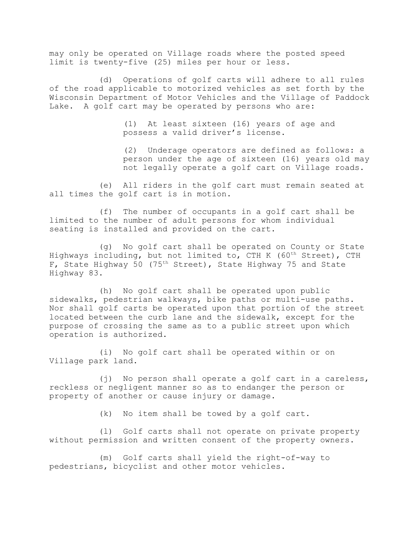may only be operated on Village roads where the posted speed limit is twenty-five (25) miles per hour or less.

(d) Operations of golf carts will adhere to all rules of the road applicable to motorized vehicles as set forth by the Wisconsin Department of Motor Vehicles and the Village of Paddock Lake. A golf cart may be operated by persons who are:

> (1) At least sixteen (16) years of age and possess a valid driver's license.

(2) Underage operators are defined as follows: a person under the age of sixteen (16) years old may not legally operate a golf cart on Village roads.

(e) All riders in the golf cart must remain seated at all times the golf cart is in motion.

(f) The number of occupants in a golf cart shall be limited to the number of adult persons for whom individual seating is installed and provided on the cart.

(g) No golf cart shall be operated on County or State Highways including, but not limited to, CTH K (60<sup>th</sup> Street), CTH F, State Highway 50 (75th Street), State Highway 75 and State Highway 83.

(h) No golf cart shall be operated upon public sidewalks, pedestrian walkways, bike paths or multi-use paths. Nor shall golf carts be operated upon that portion of the street located between the curb lane and the sidewalk, except for the purpose of crossing the same as to a public street upon which operation is authorized.

(i) No golf cart shall be operated within or on Village park land.

(j) No person shall operate a golf cart in a careless, reckless or negligent manner so as to endanger the person or property of another or cause injury or damage.

(k) No item shall be towed by a golf cart.

(l) Golf carts shall not operate on private property without permission and written consent of the property owners.

(m) Golf carts shall yield the right-of-way to pedestrians, bicyclist and other motor vehicles.